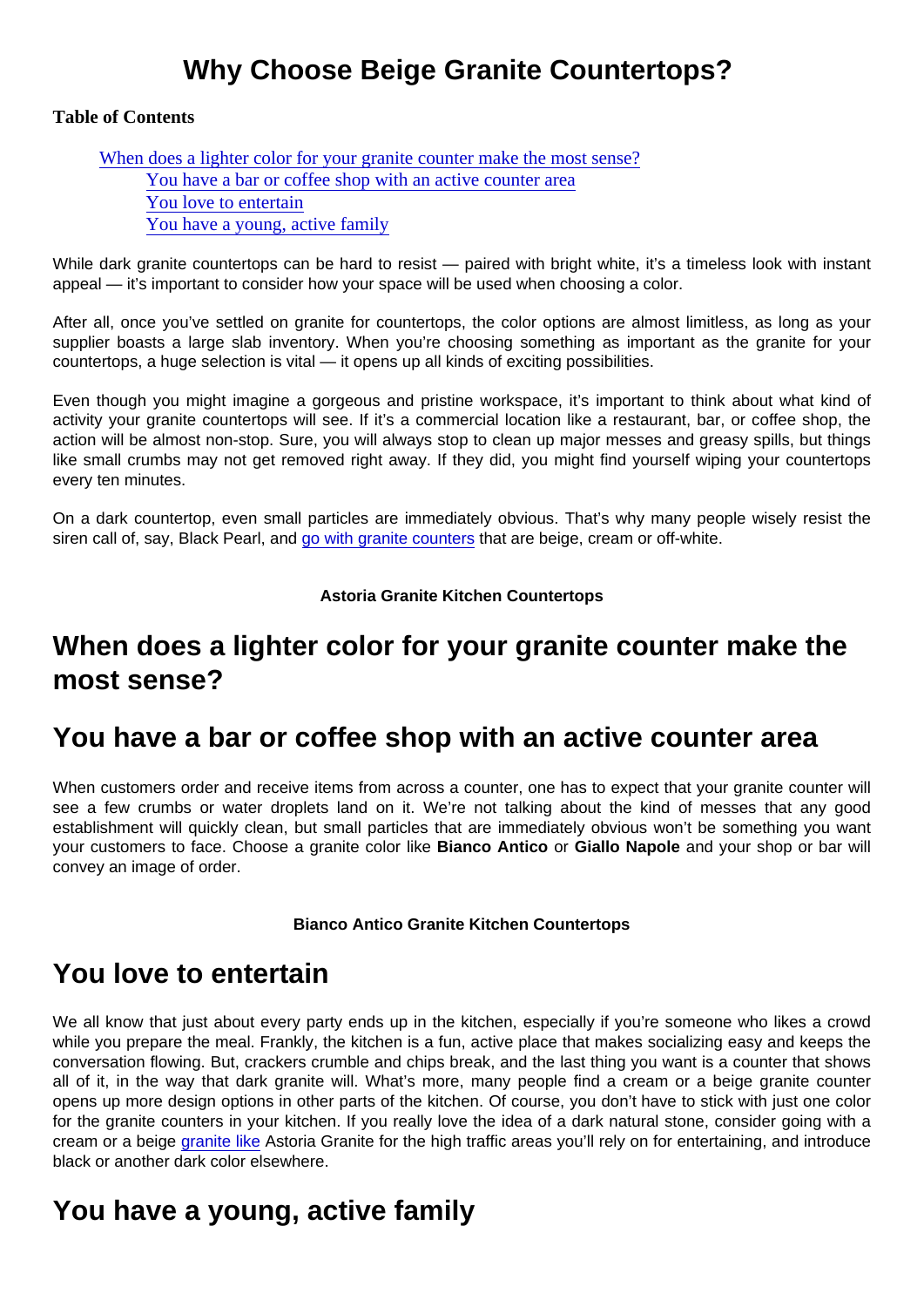## Why Choose Beige Granite Countertops?

Table of Contents

When does a lighter color for your granite counter make the most sense? You have a bar or coffee shop with an active counter area You love to entertain You have a young, active family

While dark granite countertops can be hard to resist — paired with bright white, it's a timeless look with instant appeal — it's important to consider how your space will be used when choosing a color.

After all, once you've settled on granite for countertops, the color options are almost limitless, as long as your supplier boasts a large slab inventory. When you're choosing something as important as the granite for your countertops, a huge selection is vital — it opens up all kinds of exciting possibilities.

Even though you might imagine a gorgeous and pristine workspace, it's important to think about what kind of activity your granite countertops will see. If it's a commercial location like a restaurant, bar, or coffee shop, the action will be almost non-stop. Sure, you will always stop to clean up major messes and greasy spills, but things like small crumbs may not get removed right away. If they did, you might find yourself wiping your countertops every ten minutes.

On a dark countertop, even small particles are immediately obvious. That's why many people wisely resist the siren call of, say, Black Pearl, and [go with granite counters](https://marble.com/granite-countertops) that are beige, cream or off-white.

Astoria Granite Kitchen Countertops

## When does a lighter color for your granite counter make the most sense?

#### You have a bar or coffee shop with an active counter area

When customers order and receive items from across a counter, one has to expect that your granite counter will see a few crumbs or water droplets land on it. We're not talking about the kind of messes that any good establishment will quickly clean, but small particles that are immediately obvious won't be something you want your customers to face. Choose a granite color like Bianco Antico or Giallo Napole and your shop or bar will convey an image of order.

Bianco Antico Granite Kitchen Countertops

## You love to entertain

We all know that just about every party ends up in the kitchen, especially if you're someone who likes a crowd while you prepare the meal. Frankly, the kitchen is a fun, active place that makes socializing easy and keeps the conversation flowing. But, crackers crumble and chips break, and the last thing you want is a counter that shows all of it, in the way that dark granite will. What's more, many people find a cream or a beige granite counter opens up more design options in other parts of the kitchen. Of course, you don't have to stick with just one color for the granite counters in your kitchen. If you really love the idea of a dark natural stone, consider going with a cream or a beige [granite like](https://marble.com/granite-countertops/astoria/203) Astoria Granite for the high traffic areas you'll rely on for entertaining, and introduce black or another dark color elsewhere.

# You have a young, active family